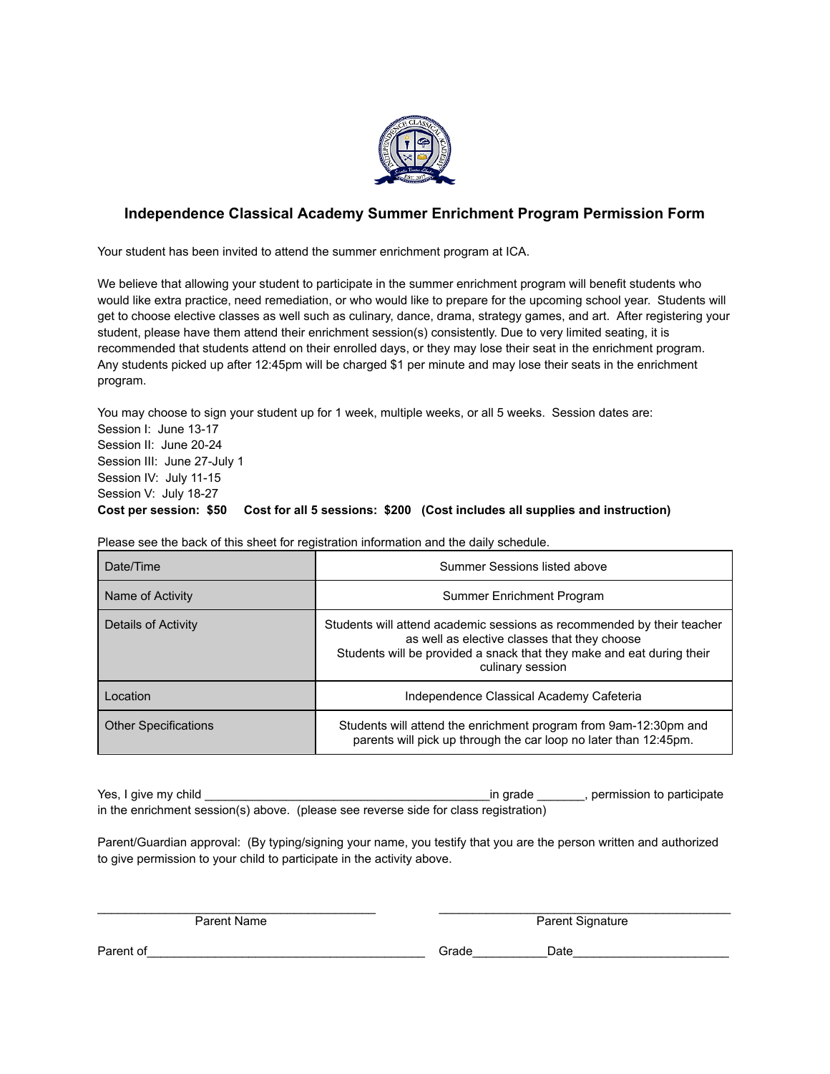

## **Independence Classical Academy Summer Enrichment Program Permission Form**

Your student has been invited to attend the summer enrichment program at ICA.

We believe that allowing your student to participate in the summer enrichment program will benefit students who would like extra practice, need remediation, or who would like to prepare for the upcoming school year. Students will get to choose elective classes as well such as culinary, dance, drama, strategy games, and art. After registering your student, please have them attend their enrichment session(s) consistently. Due to very limited seating, it is recommended that students attend on their enrolled days, or they may lose their seat in the enrichment program. Any students picked up after 12:45pm will be charged \$1 per minute and may lose their seats in the enrichment program.

You may choose to sign your student up for 1 week, multiple weeks, or all 5 weeks. Session dates are: Session I: June 13-17 Session II: June 20-24 Session III: June 27-July 1 Session IV: July 11-15 Session V: July 18-27 **Cost per session: \$50 Cost for all 5 sessions: \$200 (Cost includes all supplies and instruction)**

Please see the back of this sheet for registration information and the daily schedule.

| Date/Time                   | Summer Sessions listed above                                                                                                                                                                                        |  |  |  |
|-----------------------------|---------------------------------------------------------------------------------------------------------------------------------------------------------------------------------------------------------------------|--|--|--|
| Name of Activity            | Summer Enrichment Program                                                                                                                                                                                           |  |  |  |
| Details of Activity         | Students will attend academic sessions as recommended by their teacher<br>as well as elective classes that they choose<br>Students will be provided a snack that they make and eat during their<br>culinary session |  |  |  |
| Location                    | Independence Classical Academy Cafeteria                                                                                                                                                                            |  |  |  |
| <b>Other Specifications</b> | Students will attend the enrichment program from 9am-12:30pm and<br>parents will pick up through the car loop no later than 12:45pm.                                                                                |  |  |  |

Yes, I give my child \_\_\_\_\_\_\_\_\_\_\_\_\_\_\_\_\_\_\_\_\_\_\_\_\_\_\_\_\_\_\_\_\_\_\_\_\_\_\_\_\_\_in grade \_\_\_\_\_\_\_, permission to participate in the enrichment session(s) above. (please see reverse side for class registration)

Parent/Guardian approval: (By typing/signing your name, you testify that you are the person written and authorized to give permission to your child to participate in the activity above.

 $\overline{\phantom{a}}$  ,  $\overline{\phantom{a}}$  ,  $\overline{\phantom{a}}$  ,  $\overline{\phantom{a}}$  ,  $\overline{\phantom{a}}$  ,  $\overline{\phantom{a}}$  ,  $\overline{\phantom{a}}$  ,  $\overline{\phantom{a}}$  ,  $\overline{\phantom{a}}$  ,  $\overline{\phantom{a}}$  ,  $\overline{\phantom{a}}$  ,  $\overline{\phantom{a}}$  ,  $\overline{\phantom{a}}$  ,  $\overline{\phantom{a}}$  ,  $\overline{\phantom{a}}$  ,  $\overline{\phantom{a}}$ 

Parent Name Parent Signature

Parent of\_\_\_\_\_\_\_\_\_\_\_\_\_\_\_\_\_\_\_\_\_\_\_\_\_\_\_\_\_\_\_\_\_\_\_\_\_\_\_\_\_ Grade\_\_\_\_\_\_\_\_\_\_\_Date\_\_\_\_\_\_\_\_\_\_\_\_\_\_\_\_\_\_\_\_\_\_\_